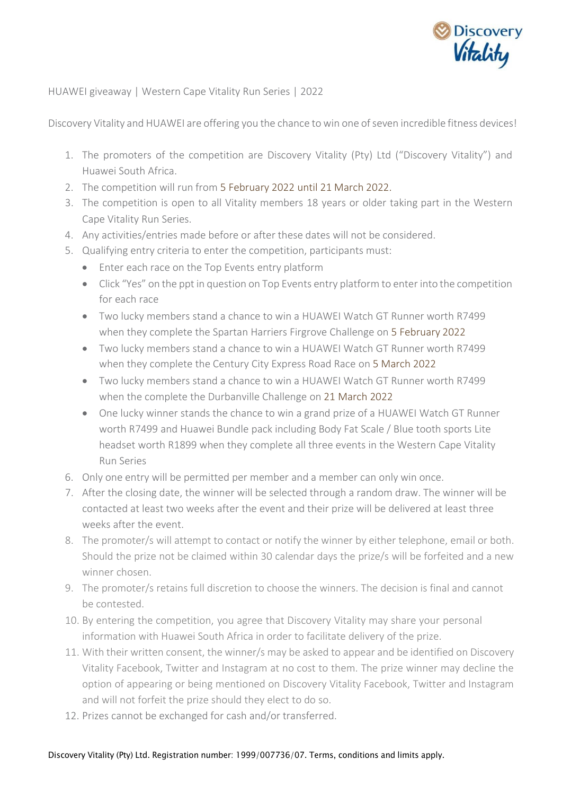

HUAWEI giveaway | Western Cape Vitality Run Series | 2022

Discovery Vitality and HUAWEI are offering you the chance to win one of seven incredible fitness devices!

- 1. The promoters of the competition are Discovery Vitality (Pty) Ltd ("Discovery Vitality") and Huawei South Africa.
- 2. The competition will run from 5 February 2022 until 21 March 2022.
- 3. The competition is open to all Vitality members 18 years or older taking part in the Western Cape Vitality Run Series.
- 4. Any activities/entries made before or after these dates will not be considered.
- 5. Qualifying entry criteria to enter the competition, participants must:
	- Enter each race on the Top Events entry platform
	- Click "Yes" on the ppt in question on Top Events entry platform to enter into the competition for each race
	- Two lucky members stand a chance to win a HUAWEI Watch GT Runner worth R7499 when they complete the Spartan Harriers Firgrove Challenge on 5 February 2022
	- Two lucky members stand a chance to win a HUAWEI Watch GT Runner worth R7499 when they complete the Century City Express Road Race on 5 March 2022
	- Two lucky members stand a chance to win a HUAWEI Watch GT Runner worth R7499 when the complete the Durbanville Challenge on 21 March 2022
	- One lucky winner stands the chance to win a grand prize of a HUAWEI Watch GT Runner worth R7499 and Huawei Bundle pack including Body Fat Scale / Blue tooth sports Lite headset worth R1899 when they complete all three events in the Western Cape Vitality Run Series
- 6. Only one entry will be permitted per member and a member can only win once.
- 7. After the closing date, the winner will be selected through a random draw. The winner will be contacted at least two weeks after the event and their prize will be delivered at least three weeks after the event.
- 8. The promoter/s will attempt to contact or notify the winner by either telephone, email or both. Should the prize not be claimed within 30 calendar days the prize/s will be forfeited and a new winner chosen.
- 9. The promoter/s retains full discretion to choose the winners. The decision is final and cannot be contested.
- 10. By entering the competition, you agree that Discovery Vitality may share your personal information with Huawei South Africa in order to facilitate delivery of the prize.
- 11. With their written consent, the winner/s may be asked to appear and be identified on Discovery Vitality Facebook, Twitter and Instagram at no cost to them. The prize winner may decline the option of appearing or being mentioned on Discovery Vitality Facebook, Twitter and Instagram and will not forfeit the prize should they elect to do so.
- 12. Prizes cannot be exchanged for cash and/or transferred.